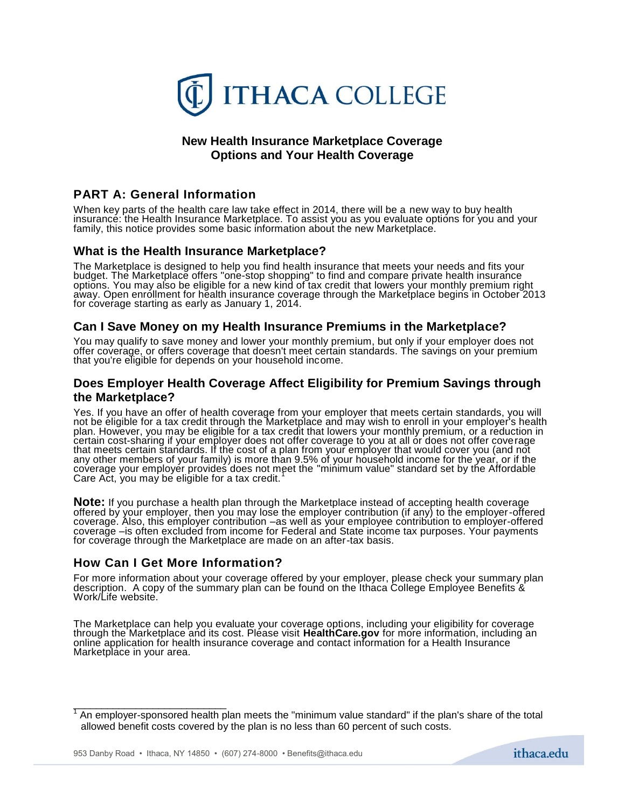

# **New Health Insurance Marketplace Coverage Options and Your Health Coverage**

## **PART A: General Information**

When key parts of the health care law take effect in 2014, there will be a new way to buy health insurance: the Health Insurance Marketplace. To assist you as you evaluate options for you and your family, this notice provides some basic information about the new Marketplace.

## **What is the Health Insurance Marketplace?**

The Marketplace is designed to help you find health insurance that meets your needs and fits your budget. The Marketplace offers "one-stop shopping" to find and compare private health insurance options. You may also be eligible for a new kind of tax credit that lowers your monthly premium right away. Open enrollment for health insurance coverage through the Marketplace begins in October 2013 for coverage starting as early as January 1, 2014.

#### **Can I Save Money on my Health Insurance Premiums in the Marketplace?**

You may qualify to save money and lower your monthly premium, but only if your employer does not offer coverage, or offers coverage that doesn't meet certain standards. The savings on your premium that you're eligible for depends on your household income.

#### **Does Employer Health Coverage Affect Eligibility for Premium Savings through the Marketplace?**

Yes. If you have an offer of health coverage from your employer that meets certain standards, you will not be eligible for a tax credit through the Marketplace and may wish to enroll in your employer's health plan. However, you may be eligible for a tax credit that lowers your monthly premium, or a reduction in certain cost-sharing if your employer does not offer coverage to you at all or does not offer coverage that meets certain standards. If the cost of a plan from your employer that would cover you (and not any other members of your family) is more than 9.5% of your household income for the year, or if the coverage your employer provides does not meet the "minimum value" standard set by the Affordable Care Act, you may be eligible for a tax credit.<sup>1</sup>

**Note:** If you purchase a health plan through the Marketplace instead of accepting health coverage offered by your employer, then you may lose the employer contribution (if any) to the employer-offered coverage. Also, this employer contribution –as well as your employee contribution to employer-offered coverage –is often excluded from income for Federal and State income tax purposes. Your payments for coverage through the Marketplace are made on an after-tax basis.

# **How Can I Get More Information?**

For more information about your coverage offered by your employer, please check your summary plan description. A copy of the summary plan can be found on the Ithaca College Employee Benefits & Work/Life website.

The Marketplace can help you evaluate your coverage options, including your eligibility for coverage through the Marketplace and its cost. Please visit **[HealthCare.gov](http://www.healthcare.gov/)** for more information, including an online application for health insurance coverage and contact information for a Health Insurance Marketplace in your area.

\_\_\_\_\_\_\_\_\_\_\_\_\_\_\_\_\_\_\_\_\_\_\_\_\_\_\_ 1 An employer-sponsored health plan meets the "minimum value standard" if the plan's share of the total allowed benefit costs covered by the plan is no less than 60 percent of such costs.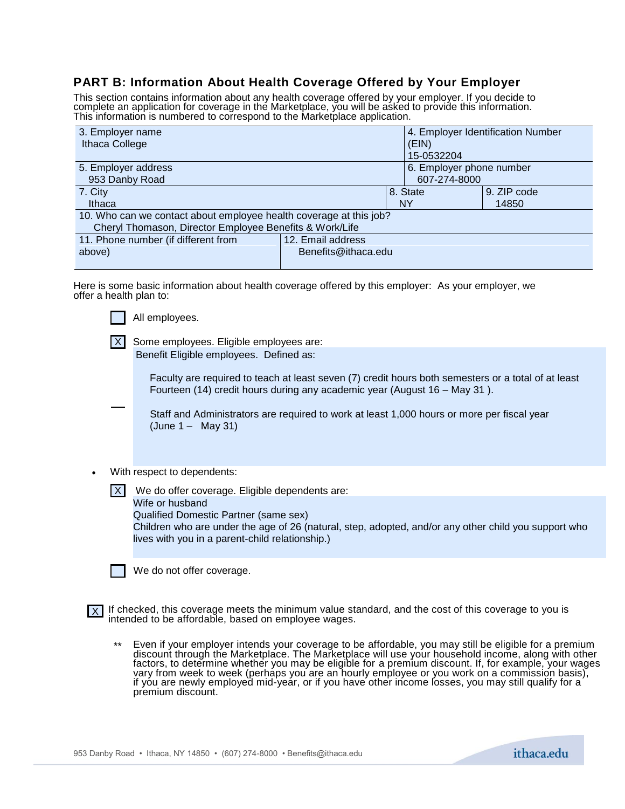## **PART B: Information About Health Coverage Offered by Your Employer**

This section contains information about any health coverage offered by your employer. If you decide to complete an application for coverage in the Marketplace, you will be asked to provide this information. This information is numbered to correspond to the Marketplace application.

| 3. Employer name                                                   |                     |            | 4. Employer Identification Number |             |
|--------------------------------------------------------------------|---------------------|------------|-----------------------------------|-------------|
| Ithaca College                                                     |                     |            | (EIN)                             |             |
|                                                                    |                     | 15-0532204 |                                   |             |
| 5. Employer address                                                |                     |            | 6. Employer phone number          |             |
| 953 Danby Road                                                     |                     |            | 607-274-8000                      |             |
| 7. City                                                            |                     |            | 8. State                          | 9. ZIP code |
| Ithaca                                                             |                     | <b>NY</b>  |                                   | 14850       |
| 10. Who can we contact about employee health coverage at this job? |                     |            |                                   |             |
| Cheryl Thomason, Director Employee Benefits & Work/Life            |                     |            |                                   |             |
| 11. Phone number (if different from                                | 12. Email address   |            |                                   |             |
| above)                                                             | Benefits@ithaca.edu |            |                                   |             |

Here is some basic information about health coverage offered by this employer: As your employer, we offer a health plan to:

|       | All employees.                                                                                                                                                                                              |
|-------|-------------------------------------------------------------------------------------------------------------------------------------------------------------------------------------------------------------|
|       | Some employees. Eligible employees are:                                                                                                                                                                     |
|       | Benefit Eligible employees. Defined as:                                                                                                                                                                     |
|       | Faculty are required to teach at least seven (7) credit hours both semesters or a total of at least<br>Fourteen (14) credit hours during any academic year (August 16 – May 31).                            |
|       | Staff and Administrators are required to work at least 1,000 hours or more per fiscal year<br>(June $1 -$ May 31)                                                                                           |
|       |                                                                                                                                                                                                             |
|       | With respect to dependents:                                                                                                                                                                                 |
| X     | We do offer coverage. Eligible dependents are:                                                                                                                                                              |
|       | Wife or husband<br>Qualified Domestic Partner (same sex)                                                                                                                                                    |
|       | Children who are under the age of 26 (natural, step, adopted, and/or any other child you support who<br>lives with you in a parent-child relationship.)                                                     |
|       | We do not offer coverage.                                                                                                                                                                                   |
|       |                                                                                                                                                                                                             |
|       | If checked, this coverage meets the minimum value standard, and the cost of this coverage to you is<br>intended to be affordable, based on employee wages.                                                  |
| $***$ | Even if your employer intends your coverage to be affordable, you may still be eligible for a premium<br>discount through the Marketplace. The Marketplace will use your bousehold income, along with other |

\*\* Even if your employer intends your coverage to be affordable, you may still be eligible for a premium discount through the Marketplace. The Marketplace will use your household income, along with other factors, to determine whether you may be eligible for a premium discount. If, for example, your wages vary from week to week (perhaps you are an hourly employee or you work on a commission basis), if yóu are newly employed mid-yeár, or if you have other income losses, you may still qualify for a  $\,$ premium discount.

ithaca.edu